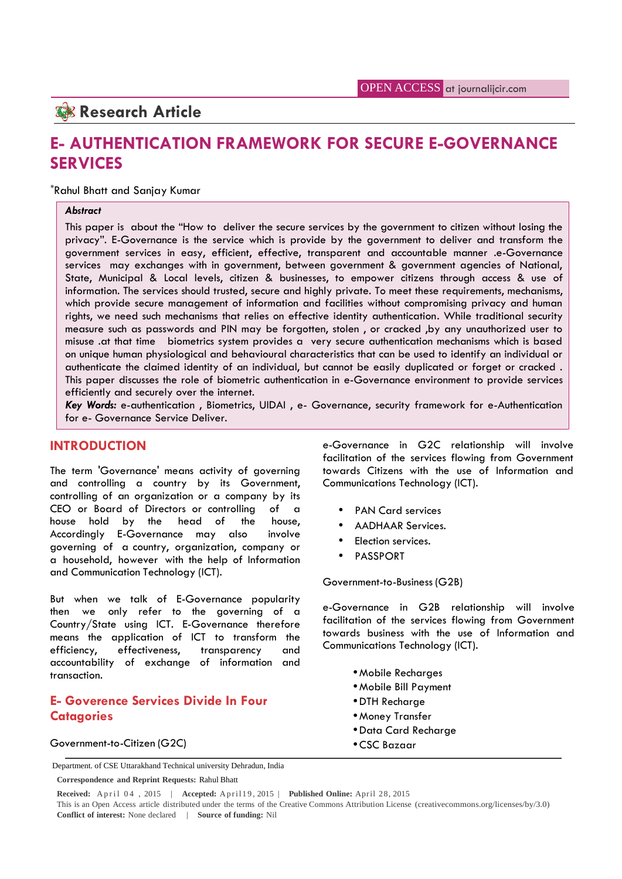# **Research Article**

# **E- AUTHENTICATION FRAMEWORK FOR SECURE E-GOVERNANCE SERVICES**

\*Rahul Bhatt and Sanjay Kumar

### *Abstract*

This paper is about the "How to deliver the secure services by the government to citizen without losing the privacy". E-Governance is the service which is provide by the government to deliver and transform the government services in easy, efficient, effective, transparent and accountable manner .e-Governance services may exchanges with in government, between government & government agencies of National, State, Municipal & Local levels, citizen & businesses, to empower citizens through access & use of information. The services should trusted, secure and highly private. To meet these requirements, mechanisms, which provide secure management of information and facilities without compromising privacy and human rights, we need such mechanisms that relies on effective identity authentication. While traditional security measure such as passwords and PIN may be forgotten, stolen , or cracked ,by any unauthorized user to misuse .at that time biometrics system provides a very secure authentication mechanisms which is based on unique human physiological and behavioural characteristics that can be used to identify an individual or authenticate the claimed identity of an individual, but cannot be easily duplicated or forget or cracked . This paper discusses the role of biometric authentication in e-Governance environment to provide services efficiently and securely over the internet.

*Key Words:* e-authentication , Biometrics, UIDAI , e- Governance, security framework for e-Authentication for e- Governance Service Deliver.

# **INTRODUCTION**

The term 'Governance' means activity of governing and controlling a country by its Government, controlling of an organization or a company by its CEO or Board of Directors or controlling of a house hold by the head of the house, Accordingly E-Governance may also involve governing of a country, organization, company or a household, however with the help of Information and Communication Technology (ICT).

But when we talk of E-Governance popularity then we only refer to the governing of a Country/State using ICT. E-Governance therefore means the application of ICT to transform the efficiency, effectiveness, transparency and accountability of exchange of information and transaction.

# **E- Goverence Services Divide In Four Catagories**

#### Government-to-Citizen (G2C)

Department. of CSE Uttarakhand Technical university Dehradun, India

**Correspondence and Reprint Requests:** Rahul Bhatt

e-Governance in G2C relationship will involve facilitation of the services flowing from Government towards Citizens with the use of Information and Communications Technology (ICT).

- PAN Card services
- AADHAAR Services.
- Election services.
- PASSPORT

Government-to-Business (G2B)

e-Governance in G2B relationship will involve facilitation of the services flowing from Government towards business with the use of Information and Communications Technology (ICT).

- Mobile Recharges
- Mobile Bill Payment
- DTH Recharge
- Money Transfer
- Data Card Recharge
- CSC Bazaar

• CSC Bazaar<br>
• CSC Bazaar<br>
• CSC Bazaar<br>
• CSC Bazaar<br>
• CSC Bazaar<br>
• CSC Bazaar<br>
• CSC Bazaar<br>
• CSC Bazaar<br>
• CSC Bazaar<br>
• CSC Bazaar<br>
• CSC Bazaar<br>
• CSC Bazaar<br>
• CSC Bazaar<br>
• CSC Bazaar<br>
• CSC Bazaar<br>
• CSC Bazaar **Conflict of interest:** None declared | **Source of funding:** Nil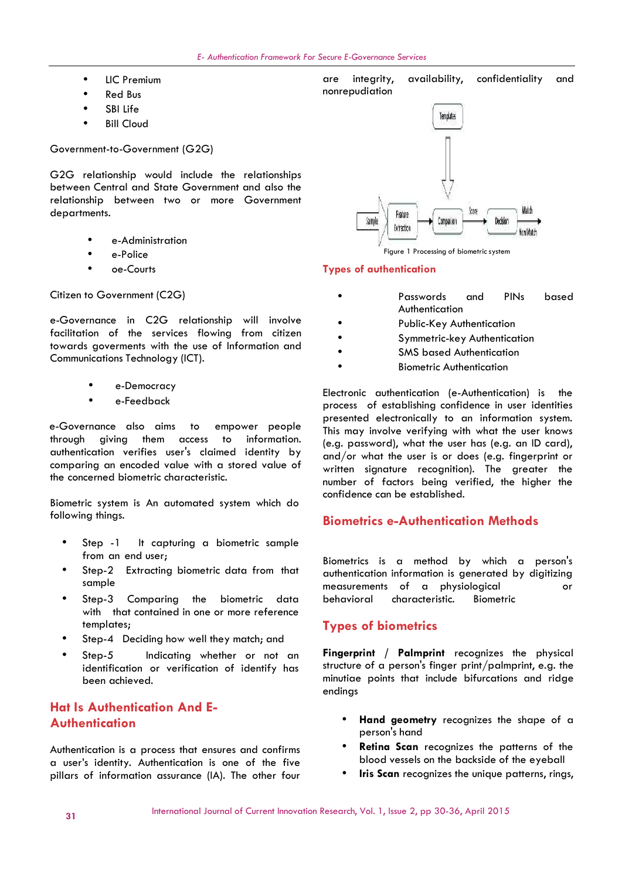- **e LIC** Premium
- Red Bus
- SBI Life
- Bill Cloud

Government-to-Government (G2G)

G2G relationship would include the relationships between Central and State Government and also the relationship between two or more Government departments.

- e-Administration
- e-Police
- oe-Courts

Citizen to Government (C2G)

e-Governance in C2G relationship will involve facilitation of the services flowing from citizen towards goverments with the use of Information and Communications Technology (ICT).

- e-Democracy
- e-Feedback

e-Governance also aims to empower people through giving them access to information. authentication verifies user's claimed identity by comparing an encoded value with a stored value of the concerned biometric characteristic.

Biometric system is An automated system which do following things.

- Step -1 It capturing a biometric sample from an end user;
- Step-2 Extracting biometric data from that sample
- Step-3 Comparing the biometric data with that contained in one or more reference templates;
- Step-4 Deciding how well they match; and
- Step-5 Indicating whether or not an identification or verification of identify has been achieved.

# **Hat Is Authentication And E- Authentication**

Authentication is a process that ensures and confirms a user's identity. Authentication is one of the five pillars of information assurance (IA). The other four

are integrity, availability, confidentiality and nonrepudiation



Figure 1 Processing of biometric system

### **Types of authentication**

- Passwords and PINs based Authentication
	- Public-Key Authentication
	- Symmetric-key Authentication
	- SMS based Authentication
- Biometric Authentication

Electronic authentication (e-Authentication) is the process of establishing confidence in user identities presented electronically to an information system. This may involve verifying with what the user knows (e.g. password), what the user has (e.g. an ID card), and/or what the user is or does (e.g. fingerprint or written signature recognition). The greater the number of factors being verified, the higher the confidence can be established.

# **Biometrics e-Authentication Methods**

Biometrics is a method by which a person's authentication information is generated by digitizing measurements of a physiological or characteristic. Biometric

# **Types of biometrics**

**Fingerprint / Palmprint** recognizes the physical structure of a person's finger print/palmprint, e.g. the minutiae points that include bifurcations and ridge endings

- Hand geometry recognizes the shape of a person's hand
- **Retina Scan** recognizes the patterns of the blood vessels on the backside of the eyeball
- **Iris Scan** recognizes the unique patterns, rings,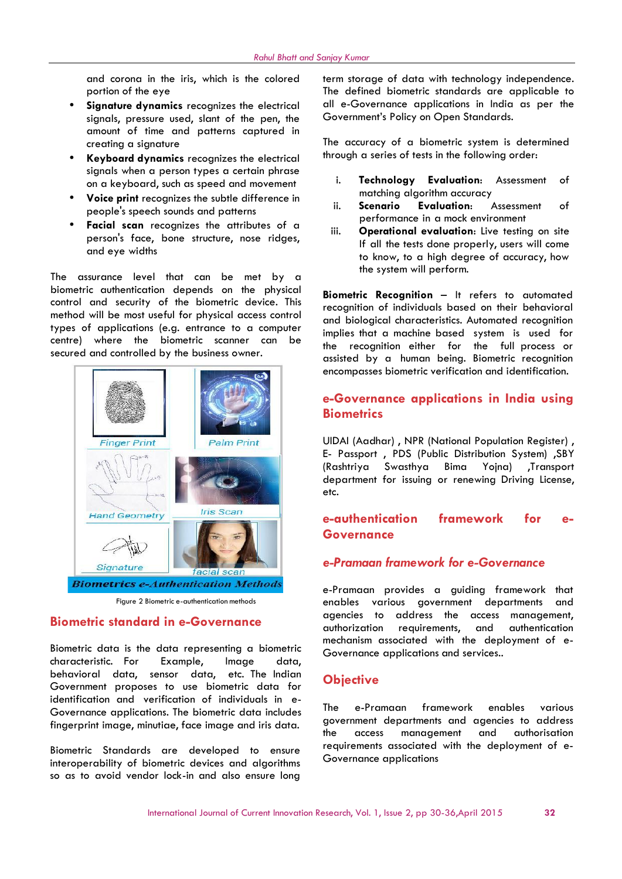and corona in the iris, which is the colored portion of the eye

- **Signature dynamics** recognizes the electrical signals, pressure used, slant of the pen, the amount of time and patterns captured in creating a signature
- **Keyboard dynamics** recognizes the electrical signals when a person types a certain phrase<br>an a louboard such as speed and movement on a keyboard, such as speed and movement
- **Voice print** recognizes the subtle difference in people's speech sounds and patterns
- **Facial scan** recognizes the attributes of a person's face, bone structure, nose ridges, and eye widths

The assurance level that can be met by a biometric authentication depends on the physical control and security of the biometric device. This method will be most useful for physical access control types of applications (e.g. entrance to a computer centre) where the biometric scanner can be secured and controlled by the business owner.



Figure 2 Biometric e-authentication methods

### **Biometric standard in e-Governance**

Biometric data is the data representing a biometric characteristic. For Example, Image data, behavioral data, sensor data, etc. The Indian Government proposes to use biometric data for identification and verification of individuals in e- Governance applications. The biometric data includes fingerprint image, minutiae, face image and iris data.

Biometric Standards are developed to ensure interoperability of biometric devices and algorithms so as to avoid vendor lock-in and also ensure long

term storage of data with technology independence. The defined biometric standards are applicable to all e-Governance applications in India as per the Government's Policy on Open Standards.

The accuracy of a biometric system is determined through a series of tests in the following order:

- i. **Technology Evaluation**: Assessment of matching algorithm accuracy
- **Scenario Evaluation:** Assessment of performance in a mock environment
- **Operational evaluation:** Live testing on site If all the tests done properly, users will come to know, to a high degree of accuracy, how the system will perform.

**Biometric Recognition** – It refers to automated recognition of individuals based on their behavioral and biological characteristics. Automated recognition implies that a machine based system is used for the recognition either for the full process or assisted by a human being. Biometric recognition encompasses biometric verification and identification.

# **e-Governance applications in India using Biometrics**

UIDAI (Aadhar) , NPR (National Population Register) , E- Passport , PDS (Public Distribution System) ,SBY (Rashtriya Swasthya Bima Yojna) ,Transport department for issuing or renewing Driving License, etc.

# **e-authentication framework for e- Governance**

# *e-Pramaan framework for e-Governance*

e-Pramaan provides a guiding framework that enables various government departments and agencies to address the access management, authorization requirements, and authentication mechanism associated with the deployment of e- Governance applications and services..

### **Objective**

e-Pramaan framework enables various government departments and agencies to address the access management and authorisation requirements associated with the deployment of e- Governance applications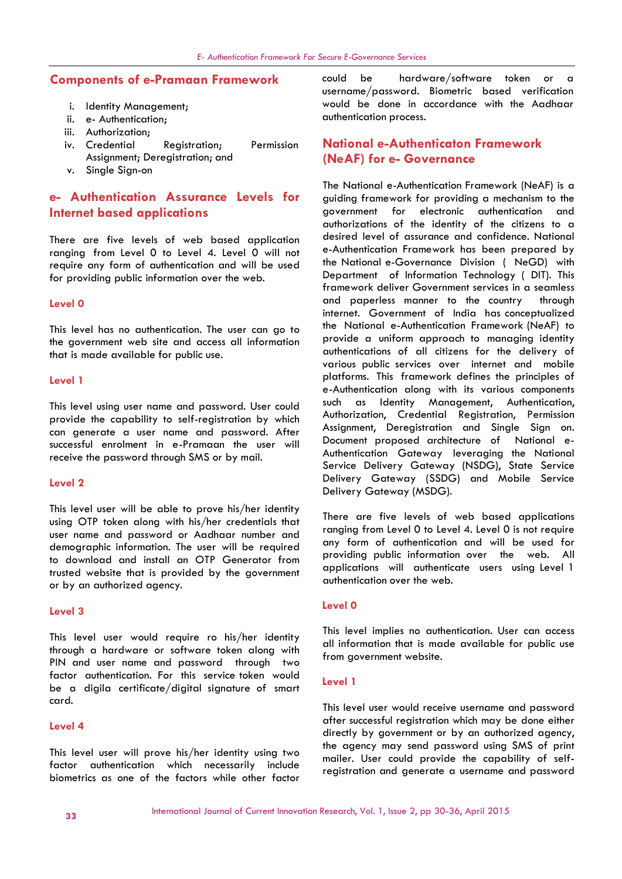### **Components of e-Pramaan Framework**

- i. Identity Management;
- ii. e- Authentication;
- iii. Authorization;
- iv. Credential Registration; Permission Assignment; Deregistration; and
- v. Single Sign-on

# **e- Authentication Assurance Levels for Internet based applications**

There are five levels of web based application ranging from Level 0 to Level 4. Level 0 will not require any form of authentication and will be used for providing public information over the web.

#### **Level 0**

This level has no authentication. The user can go to the government web site and access all information that is made available for public use.

#### **Level 1**

This level using user name and password. User could such provide the capability to self-registration by which can generate a user name and password. After successful enrolment in e-Pramaan the user will receive the password through SMS or by mail.

#### **Level 2**

This level user will be able to prove his/her identity using OTP token along with his/her credentials that user name and password or Aadhaar number and demographic information. The user will be required to download and install an OTP Generator from trusted website that is provided by the government or by an authorized agency.

### **Level 3**

This level user would require ro his/her identity through a hardware or software token along with PIN and user name and password through two factor authentication. For this service token would be a digila certificate/digital signature of smart card.

### **Level 4**

This level user will prove his/her identity using two factor authentication which necessarily include biometrics as one of the factors while other factor

be hardware/software token or a username/password. Biometric based verification would be done in accordance with the Aadhaar authentication process.

# **National e-Authenticaton Framework (NeAF) for e- Governance**

The National e-Authentication Framework (NeAF) is a guiding framework for providing a mechanism to the government for electronic authentication and authorizations of the identity of the citizens to a desired level of assurance and confidence. National e-Authentication Framework has been prepared by the National e-Governance Division ( NeGD) with Department of Information Technology ( DIT). This framework deliver Government services in a seamless and paperless manner to the country through internet. Government of India has conceptualized the National e-Authentication Framework (NeAF) to provide a uniform approach to managing identity authentications of all citizens for the delivery of various public services over internet and mobile platforms. This framework defines the principles of e-Authentication along with its various components as Identity Management, Authentication, Authorization, Credential Registration, Permission Assignment, Deregistration and Single Sign on. Document proposed architecture of National e- Authentication Gateway leveraging the National Service Delivery Gateway (NSDG), State Service Delivery Gateway (SSDG) and Mobile Service Delivery Gateway (MSDG).

There are five levels of web based applications ranging from Level 0 to Level 4. Level 0 is not require any form of authentication and will be used for providing public information over the web. All applications will authenticate users using Level 1 authentication over the web.

#### **Level 0**

This level implies no authentication. User can access all information that is made available for public use from government website.

#### **Level 1**

This level user would receive username and password after successful registration which may be done either directly by government or by an authorized agency, the agency may send password using SMS of print mailer. User could provide the capability of selfregistration and generate a username and password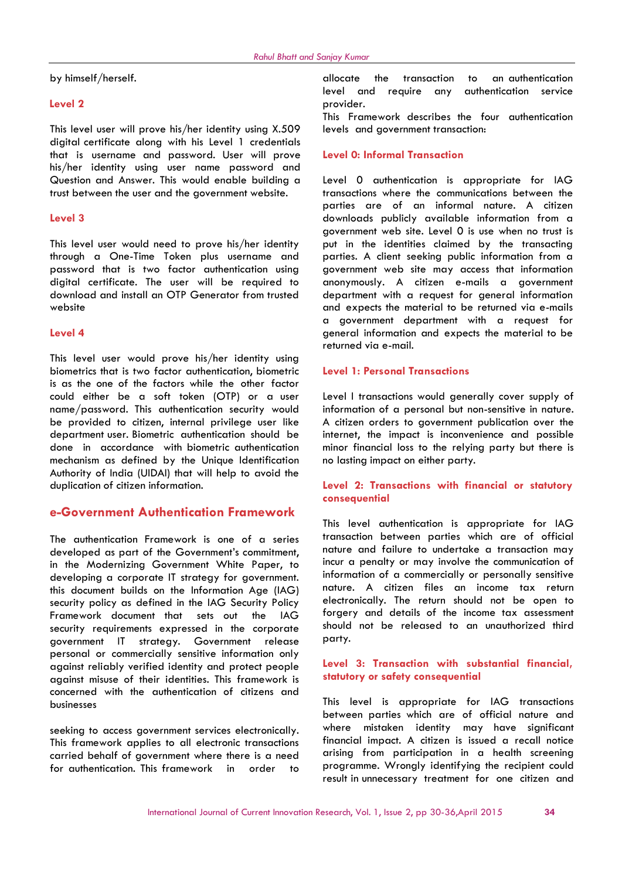by himself/herself.

#### **Level 2**

This level user will prove his/her identity using X.509 digital certificate along with his Level 1 credentials that is username and password. User will prove his/her identity using user name password and Question and Answer. This would enable building a trust between the user and the government website.

#### **Level 3**

This level user would need to prove his/her identity through a One-Time Token plus username and password that is two factor authentication using digital certificate. The user will be required to download and installan OTP Generator from trusted website

#### **Level 4**

This level user would prove his/her identity using biometrics that is two factor authentication, biometric is as the one of the factors while the other factor could either be a soft token (OTP) or a user name/password. This authentication security would be provided to citizen, internal privilege user like department user. Biometric authentication should be done in accordance with biometric authentication mechanism as defined by the Unique Identification Authority of India (UIDAI) that will help to avoid the duplication of citizen information.

## **e-Government Authentication Framework**

The authentication Framework is one of a series developed as part of the Government's commitment, in the Modernizing Government White Paper, to developing a corporate IT strategy for government. this document builds on the Information Age (IAG) security policy as defined in the IAG Security Policy Framework document that sets out the IAG security requirements expressed in the corporate government IT strategy. Government release personal or commercially sensitive information only against reliably verified identity and protect people against misuse of their identities. This framework is concerned with the authentication of citizens and businesses

seeking to access government services electronically. This framework applies to all electronic transactions carried behalf of government where there is a need for authentication. This framework in order to

allocate the transaction to an authentication level and require any authentication service provider.

This Framework describes the four authentication levels and government transaction:

#### **Level 0: Informal Transaction**

Level 0 authentication is appropriate for IAG transactions where the communications between the parties are of an informal nature. A citizen downloads publicly available information from a government web site. Level 0 is use when no trust is put in the identities claimed by the transacting parties. A client seeking public information from a government web site may access that information anonymously. A citizen e-mails a government department with a request for general information and expects the material to be returned via e-mails a government department with a request for general information and expects the material to be returned via e-mail.

### **Level 1: Personal Transactions**

Level I transactions would generally cover supply of information of a personal but non-sensitive in nature. A citizen orders to government publication over the internet, the impact is inconvenience and possible minor financial loss to the relying party but there is no lasting impact on either party.

### **Level 2: Transactions with financial or statutory consequential**

This level authentication is appropriate for IAG transaction between parties which are of official nature and failure to undertake a transaction may incur a penalty or may involve the communication of information of a commercially or personally sensitive nature. A citizen files an income tax return electronically. The return should not be open to forgery and details of the income tax assessment should not be released to an unauthorized third party.

### **Level 3: Transaction with substantial financial, statutory or safety consequential**

This level is appropriate for IAG transactions between parties which are of official nature and where mistaken identity may have significant financial impact. A citizen is issued a recall notice arising from participation in a health screening programme. Wrongly identifying the recipient could result in unnecessary treatment for one citizen and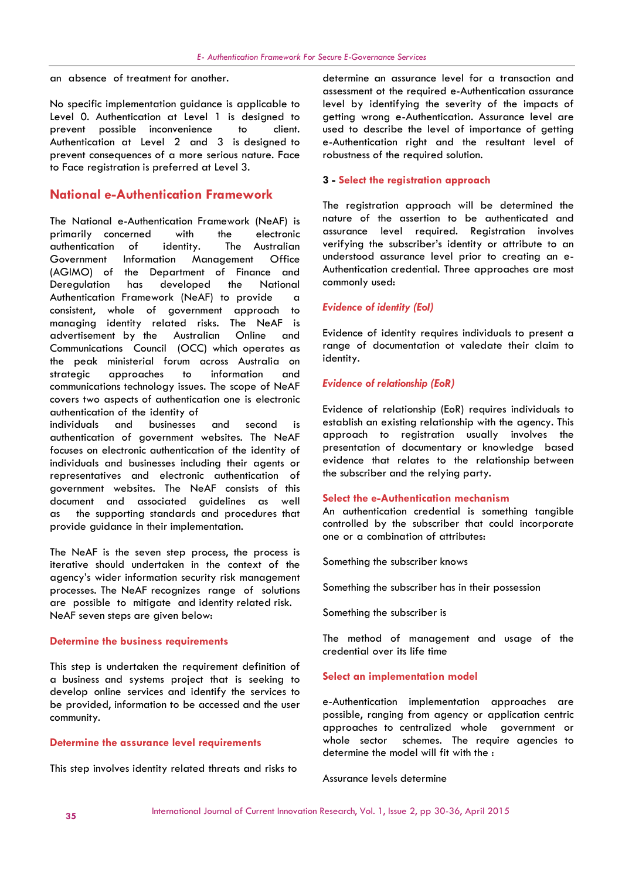an absence of treatment for another.

No specific implementation guidance is applicable to Level 0. Authentication at Level 1 is designed to prevent possible inconvenience to client. Authentication at Level 2 and 3 is designed to prevent consequences of a more serious nature. Face to Face registration is preferred at Level 3.

# **National e-Authentication Framework**

The National e-Authentication Framework (NeAF) is primarily concerned with the electronic authentication of identity. The Australian Information Management (AGIMO) of the Department of Finance and Deregulation has developed the National Authentication Framework (NeAF) to provide a consistent, whole of government approach to managing identity related risks. The NeAF is advertisement by the Australian Online and Communications Council (OCC) which operates as the peak ministerial forum across Australia on strategic approaches to information and communications technology issues. The scope of NeAF covers two aspects of authentication one is electronic authentication of the identity of

individuals and businesses and second is authentication of government websites. The NeAF focuses on electronic authentication of the identity of individuals and businesses including their agents or representatives and electronic authentication of government websites. The NeAF consists of this document and associated guidelines as well as the supporting standards and procedures that provide guidance in their implementation.

The NeAF is the seven step process, the process is iterative should undertaken in the context of the agency's wider information security risk management processes. The NeAF recognizes range of solutions are possible to mitigate and identity related risk. NeAF seven steps are given below:

#### **Determine the business requirements**

This step is undertaken the requirement definition of a business and systems project that is seeking to develop online services and identify the services to be provided, information to be accessed and the user community.

#### **Determine the assurance level requirements**

This step involves identity related threats and risks to

determine an assurance level for a transaction and assessment ot the required e-Authentication assurance level by identifying the severity of the impacts of getting wrong e-Authentication. Assurance level are used to describe the level of importance of getting e-Authentication right and the resultant level of robustness of the required solution.

### **3 - Select the registration approach**

The registration approach will be determined the nature of the assertion to be authenticated and assurance level required. Registration involves verifying the subscriber's identity or attribute to an understood assurance level prior to creating an e- Authentication credential. Three approaches are most commonly used:

#### *Evidence of identity (EoI)*

Evidence of identity requires individuals to present a range of documentation ot valedate their claim to identity.

#### *Evidence of relationship (EoR)*

Evidence of relationship (EoR) requires individuals to establish an existing relationship with the agency. This approach to registration usually involves the presentation of documentary or knowledge based evidence that relates to the relationship between the subscriber and the relying party.

#### **Select the e-Authentication mechanism**

An authentication credential is something tangible controlled by the subscriber that could incorporate one or a combination of attributes:

Something the subscriber knows

Something the subscriber has in their possession

Something the subscriber is

The method of management and usage of the credential over its life time

#### **Select an implementation model**

e-Authentication implementation approaches are possible, ranging from agency or application centric approaches to centralized whole government or whole sector schemes. The require agencies to determine the model will fit with the :

#### Assurance levels determine